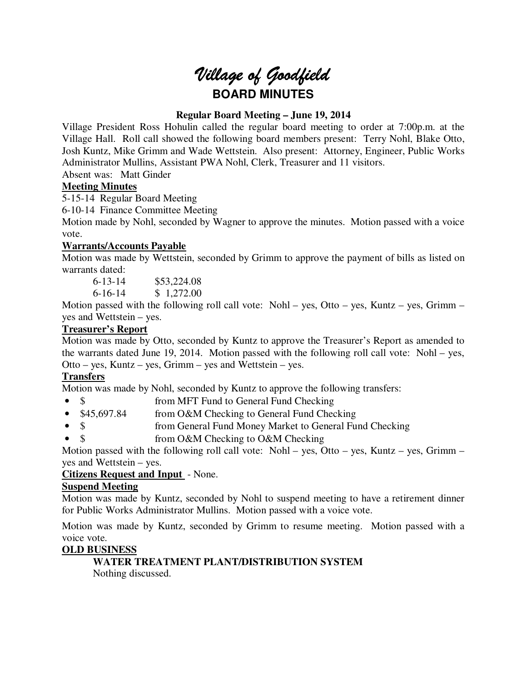

# **Regular Board Meeting – June 19, 2014**

Village President Ross Hohulin called the regular board meeting to order at 7:00p.m. at the Village Hall. Roll call showed the following board members present: Terry Nohl, Blake Otto, Josh Kuntz, Mike Grimm and Wade Wettstein. Also present: Attorney, Engineer, Public Works Administrator Mullins, Assistant PWA Nohl, Clerk, Treasurer and 11 visitors.

Absent was: Matt Ginder

# **Meeting Minutes**

5-15-14 Regular Board Meeting

6-10-14 Finance Committee Meeting

Motion made by Nohl, seconded by Wagner to approve the minutes. Motion passed with a voice vote.

# **Warrants/Accounts Payable**

Motion was made by Wettstein, seconded by Grimm to approve the payment of bills as listed on warrants dated:

6-13-14 \$53,224.08

6-16-14 \$ 1,272.00

Motion passed with the following roll call vote: Nohl – yes, Otto – yes, Kuntz – yes, Grimm – yes and Wettstein – yes.

# **Treasurer's Report**

Motion was made by Otto, seconded by Kuntz to approve the Treasurer's Report as amended to the warrants dated June 19, 2014. Motion passed with the following roll call vote: Nohl – yes, Otto – yes, Kuntz – yes, Grimm – yes and Wettstein – yes.

# **Transfers**

Motion was made by Nohl, seconded by Kuntz to approve the following transfers:

- \$ from MFT Fund to General Fund Checking
- \$45,697.84 from O&M Checking to General Fund Checking
- \$ from General Fund Money Market to General Fund Checking
- \$ from O&M Checking to O&M Checking

Motion passed with the following roll call vote: Nohl – yes, Otto – yes, Kuntz – yes, Grimm – yes and Wettstein – yes.

# **Citizens Request and Input** - None.

# **Suspend Meeting**

Motion was made by Kuntz, seconded by Nohl to suspend meeting to have a retirement dinner for Public Works Administrator Mullins. Motion passed with a voice vote.

Motion was made by Kuntz, seconded by Grimm to resume meeting. Motion passed with a voice vote.

# **OLD BUSINESS**

**WATER TREATMENT PLANT/DISTRIBUTION SYSTEM**  Nothing discussed.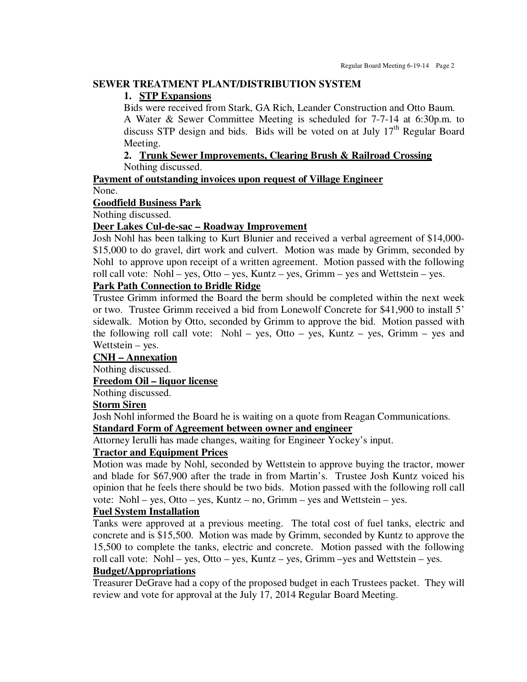## **SEWER TREATMENT PLANT/DISTRIBUTION SYSTEM**

### **1. STP Expansions**

Bids were received from Stark, GA Rich, Leander Construction and Otto Baum. A Water & Sewer Committee Meeting is scheduled for 7-7-14 at 6:30p.m. to

discuss STP design and bids. Bids will be voted on at July  $17<sup>th</sup>$  Regular Board Meeting.

# **2. Trunk Sewer Improvements, Clearing Brush & Railroad Crossing**  Nothing discussed.

**Payment of outstanding invoices upon request of Village Engineer**  None.

## **Goodfield Business Park**

Nothing discussed.

### **Deer Lakes Cul-de-sac – Roadway Improvement**

Josh Nohl has been talking to Kurt Blunier and received a verbal agreement of \$14,000- \$15,000 to do gravel, dirt work and culvert. Motion was made by Grimm, seconded by Nohl to approve upon receipt of a written agreement. Motion passed with the following roll call vote: Nohl – yes, Otto – yes, Kuntz – yes, Grimm – yes and Wettstein – yes.

# **Park Path Connection to Bridle Ridge**

Trustee Grimm informed the Board the berm should be completed within the next week or two. Trustee Grimm received a bid from Lonewolf Concrete for \$41,900 to install 5' sidewalk. Motion by Otto, seconded by Grimm to approve the bid. Motion passed with the following roll call vote: Nohl – yes, Otto – yes, Kuntz – yes, Grimm – yes and Wettstein – yes.

# **CNH – Annexation**

Nothing discussed.

## **Freedom Oil – liquor license**

Nothing discussed.

## **Storm Siren**

Josh Nohl informed the Board he is waiting on a quote from Reagan Communications. **Standard Form of Agreement between owner and engineer** 

Attorney Ierulli has made changes, waiting for Engineer Yockey's input.

### **Tractor and Equipment Prices**

Motion was made by Nohl, seconded by Wettstein to approve buying the tractor, mower and blade for \$67,900 after the trade in from Martin's. Trustee Josh Kuntz voiced his opinion that he feels there should be two bids. Motion passed with the following roll call vote: Nohl – yes, Otto – yes, Kuntz – no, Grimm – yes and Wettstein – yes.

# **Fuel System Installation**

Tanks were approved at a previous meeting. The total cost of fuel tanks, electric and concrete and is \$15,500. Motion was made by Grimm, seconded by Kuntz to approve the 15,500 to complete the tanks, electric and concrete. Motion passed with the following roll call vote: Nohl – yes, Otto – yes, Kuntz – yes, Grimm –yes and Wettstein – yes.

## **Budget/Appropriations**

Treasurer DeGrave had a copy of the proposed budget in each Trustees packet. They will review and vote for approval at the July 17, 2014 Regular Board Meeting.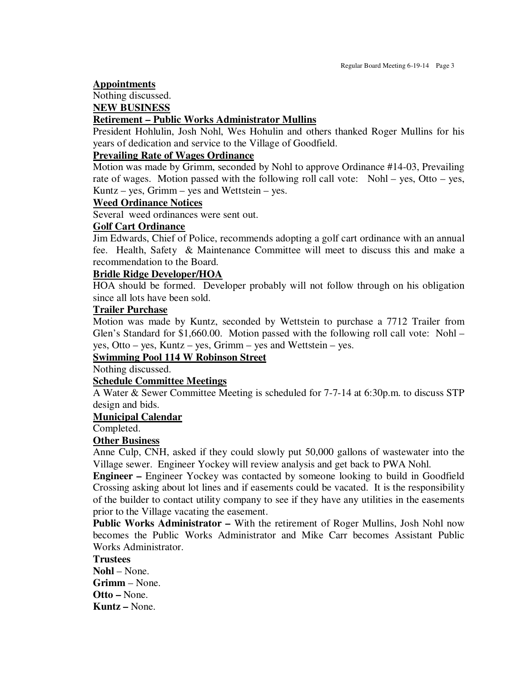#### **Appointments**

# Nothing discussed.

#### **NEW BUSINESS**

## **Retirement – Public Works Administrator Mullins**

President Hohlulin, Josh Nohl, Wes Hohulin and others thanked Roger Mullins for his years of dedication and service to the Village of Goodfield.

### **Prevailing Rate of Wages Ordinance**

Motion was made by Grimm, seconded by Nohl to approve Ordinance #14-03, Prevailing rate of wages. Motion passed with the following roll call vote: Nohl – yes, Otto – yes, Kuntz – yes, Grimm – yes and Wettstein – yes.

### **Weed Ordinance Notices**

Several weed ordinances were sent out.

### **Golf Cart Ordinance**

Jim Edwards, Chief of Police, recommends adopting a golf cart ordinance with an annual fee. Health, Safety & Maintenance Committee will meet to discuss this and make a recommendation to the Board.

### **Bridle Ridge Developer/HOA**

HOA should be formed. Developer probably will not follow through on his obligation since all lots have been sold.

### **Trailer Purchase**

Motion was made by Kuntz, seconded by Wettstein to purchase a 7712 Trailer from Glen's Standard for \$1,660.00. Motion passed with the following roll call vote: Nohl – yes, Otto – yes, Kuntz – yes, Grimm – yes and Wettstein – yes.

### **Swimming Pool 114 W Robinson Street**

Nothing discussed.

### **Schedule Committee Meetings**

A Water & Sewer Committee Meeting is scheduled for 7-7-14 at 6:30p.m. to discuss STP design and bids.

#### **Municipal Calendar**

Completed.

#### **Other Business**

Anne Culp, CNH, asked if they could slowly put 50,000 gallons of wastewater into the Village sewer. Engineer Yockey will review analysis and get back to PWA Nohl.

**Engineer –** Engineer Yockey was contacted by someone looking to build in Goodfield Crossing asking about lot lines and if easements could be vacated. It is the responsibility of the builder to contact utility company to see if they have any utilities in the easements prior to the Village vacating the easement.

**Public Works Administrator –** With the retirement of Roger Mullins, Josh Nohl now becomes the Public Works Administrator and Mike Carr becomes Assistant Public Works Administrator.

### **Trustees**

**Nohl** – None. **Grimm** – None. **Otto –** None. **Kuntz –** None.